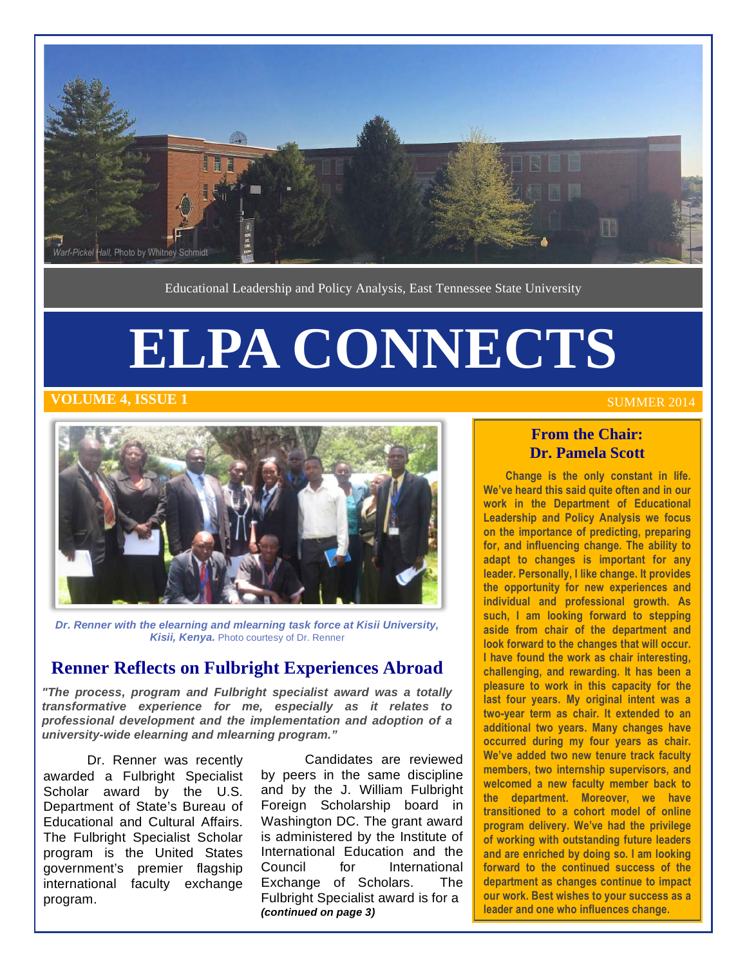

Educational Leadership and Policy Analysis, East Tennessee State University

# **ELPA CONNECTS**

#### **THE 4, ISSUE 1 SUMMER 2014 SUMMER 2014**



 **Dr. Renner with the elearning and mlearning task force at Kisii University,**  Kisii, Kenya. Photo courtesy of Dr. Renner

#### **Renner Reflects on Fulbright Experiences Abroad**

 **"The process, program and Fulbright specialist award was a totally transformative experience for me, especially as it relates to professional development and the implementation and adoption of a university-wide elearning and mlearning program."** 

 awarded a Fulbright Specialist Scholar award by the U.S. Educational and Cultural Affairs. program is the United States government's premier flagship Dr. Renner was recently Department of State's Bureau of The Fulbright Specialist Scholar international faculty exchange program.

 Candidates are reviewed by peers in the same discipline and by the J. William Fulbright Foreign Scholarship board in is administered by the Institute of Council Exchange of Scholars. The  **(continued on page 3)**  Washington DC. The grant award International Education and the for International Fulbright Specialist award is for a

#### **From the Chair: Dr. Pamela Scott**

 **Change is the only constant in life. We've heard this said quite often and in our work in the Department of Educational Leadership and Policy Analysis we focus on the importance of predicting, preparing for, and influencing change. The ability to adapt to changes is important for any leader. Personally, I like change. It provides the opportunity for new experiences and such, I am looking forward to stepping aside from chair of the department and I have found the work as chair interesting, challenging, and rewarding. It has been a pleasure to work in this capacity for the last four years. My original intent was a two-year term as chair. It extended to an additional two years. Many changes have occurred during my four years as chair. We've added two new tenure track faculty members, two internship supervisors, and welcomed a new faculty member back to the department. Moreover, we have transitioned to a cohort model of online program delivery. We've had the privilege of working with outstanding future leaders and are enriched by doing so. I am looking forward to the continued success of the department as changes continue to impact our work. Best wishes to your success as a leader and one who influences change. individual and professional growth. As look forward to the changes that will occur.**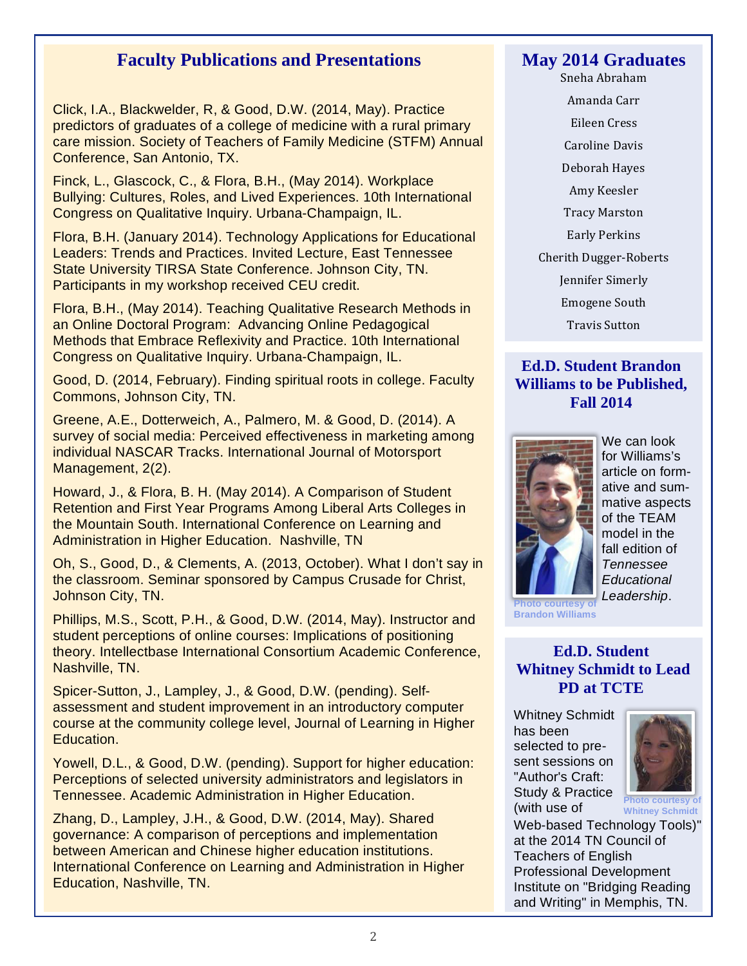### **Faculty Publications and Presentations**

 Click, I.A., Blackwelder, R, & Good, D.W. (2014, May). Practice predictors of graduates of a college of medicine with a rural primary care mission. Society of Teachers of Family Medicine (STFM) Annual Conference, San Antonio, TX.

 Finck, L., Glascock, C., & Flora, B.H., (May 2014). Workplace Bullying: Cultures, Roles, and Lived Experiences. 10th International Congress on Qualitative Inquiry. Urbana-Champaign, IL.

 Flora, B.H. (January 2014). Technology Applications for Educational Leaders: Trends and Practices. Invited Lecture, East Tennessee State University TIRSA State Conference. Johnson City, TN. Participants in my workshop received CEU credit.

 Flora, B.H., (May 2014). Teaching Qualitative Research Methods in an Online Doctoral Program: Advancing Online Pedagogical Methods that Embrace Reflexivity and Practice. 10th International Congress on Qualitative Inquiry. Urbana-Champaign, IL.

 Good, D. (2014, February). Finding spiritual roots in college. Faculty Commons, Johnson City, TN.

 Greene, A.E., Dotterweich, A., Palmero, M. & Good, D. (2014). A survey of social media: Perceived effectiveness in marketing among individual NASCAR Tracks. International Journal of Motorsport Management, 2(2).

 Howard, J., & Flora, B. H. (May 2014). A Comparison of Student Retention and First Year Programs Among Liberal Arts Colleges in the Mountain South. International Conference on Learning and Administration in Higher Education. Nashville, TN

 Oh, S., Good, D., & Clements, A. (2013, October). What I don't say in the classroom. Seminar sponsored by Campus Crusade for Christ, Johnson City, TN.

 Phillips, M.S., Scott, P.H., & Good, D.W. (2014, May). Instructor and student perceptions of online courses: Implications of positioning theory. Intellectbase International Consortium Academic Conference, Nashville, TN.

 Spicer-Sutton, J., Lampley, J., & Good, D.W. (pending). Self- assessment and student improvement in an introductory computer course at the community college level, Journal of Learning in Higher Education.

 Yowell, D.L., & Good, D.W. (pending). Support for higher education: Perceptions of selected university administrators and legislators in Tennessee. Academic Administration in Higher Education.

 Zhang, D., Lampley, J.H., & Good, D.W. (2014, May). Shared governance: A comparison of perceptions and implementation between American and Chinese higher education institutions. International Conference on Learning and Administration in Higher Education, Nashville, TN.

#### **May 2014 Graduates**

Sneha Abraham

Amanda Carr Eileen Cress Caroline Davis Deborah Hayes Amy Keesler Tracy Marston Early Perkins Cherith Dugger-Roberts Jennifer Simerly Emogene South Travis Sutton

#### **Ed.D. Student Brandon Williams to be Published, Fall 2014**



 We can look of the TEAM model in the fall edition of for Williams's article on formative and summative aspects Tennessee **Educational** Leadership.

**noto** courtesy **Brandon Williams**

#### **Whitney Schmidt to Lead PD at TCTE Ed.D. Student**

 Whitney Schmidt has been selected to pre- "Author's Craft: sent sessions on Study & Practice



 (with use of **Photo courtesy of Whitney Schmidt**

 Web-based Technology Tools)" at the 2014 TN Council of Teachers of English and Writing" in Memphis, TN. Professional Development Institute on "Bridging Reading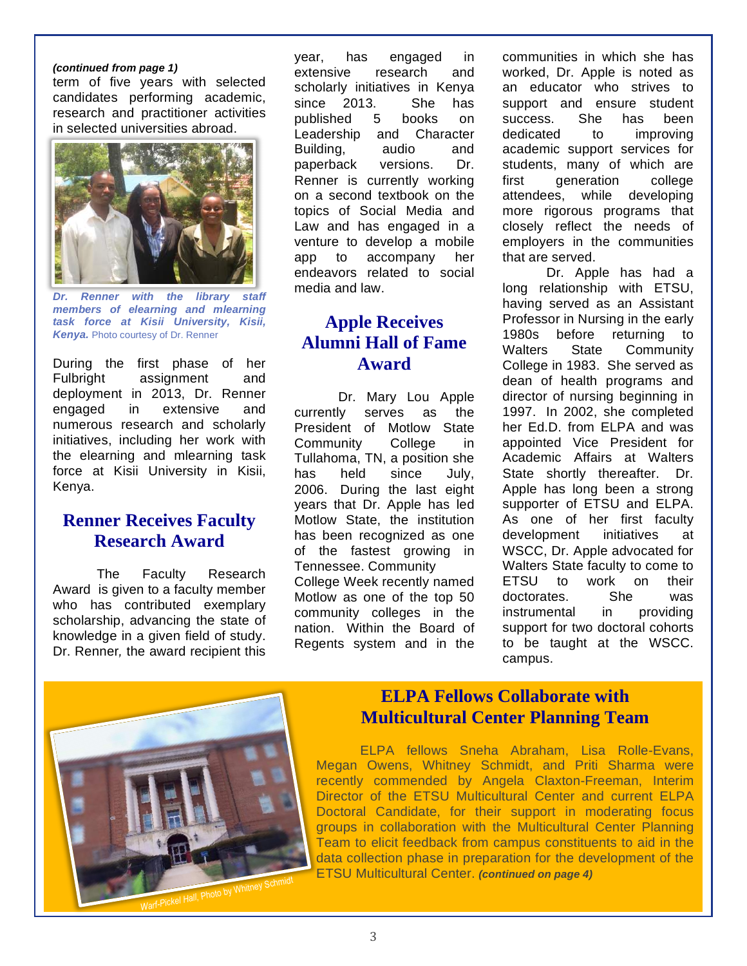#### **(continued from page 1)**

 term of five years with selected research and practitioner activities in selected universities abroad. candidates performing academic,



**Dr. task force at Kisii University, Kisii, Kenya.** Photo courtesy of Dr. Renner **Dr. Renner with the library staff members of elearning and mlearning** 

 During the first phase of her deployment in 2013, Dr. Renner extensive numerous research and scholarly initiatives, including her work with the elearning and mlearning task force at Kisii University in Kisii, Fulbright assignment and engaged in extensive and Kenya.

### **Renner Receives Faculty Research Award**

 Award is given to a faculty member scholarship, advancing the state of knowledge in a given field of study. Dr. Renner, the award recipient this The Faculty Research who has contributed exemplary

 scholarly initiatives in Kenya since 2013. She has Leadership and Character versions. Renner is currently working on a second textbook on the topics of Social Media and Law and has engaged in a venture to develop a mobile app to accompany her endeavors related to social media and law. year, has engaged in extensive research and published 5 books on Building, audio and paperback versions. Dr.

# **Apple Receives Alumni Hall of Fame Award**

 President of Motlow State College Tullahoma, TN, a position she has. 2006. During the last eight years that Dr. Apple has led Motlow State, the institution of the fastest growing in College Week recently named Motlow as one of the top 50 community colleges in the nation. Within the Board of Regents system and in the Dr. Mary Lou Apple currently serves as the Community College in held since July, has been recognized as one Tennessee. Community

 communities in which she has worked, Dr. Apple is noted as an educator who strives to support and ensure student success. She has been academic support services for students, many of which are attendees. that are served. that are served.<br>Dr. Apple has had a dedicated to improving first generation college while developing more rigorous programs that closely reflect the needs of employers in the communities

 long relationship with ETSU, having served as an Assistant Professor in Nursing in the early 1980s before returning to Walters College in 1983. She served as dean of health programs and director of nursing beginning in 1997. In 2002, she completed her Ed.D. from ELPA and was appointed Vice President for Academic Affairs at Walters State shortly thereafter. Dr. Apple has long been a strong As one of her first faculty initiatives WSCC, Dr. Apple advocated for Walters State faculty to come to **FTSU**  doctorates. She was instrumental in providing support for two doctoral cohorts to be taught at the WSCC. State Community supporter of ETSU and ELPA. development initiatives at to work on their campus.



# **ELPA Fellows Collaborate with Multicultural Center Planning Team**

 ELPA fellows Sneha Abraham, Lisa Rolle-Evans, Megan Owens, Whitney Schmidt, and Priti Sharma were recently commended by Angela Claxton-Freeman, Interim Director of the ETSU Multicultural Center and current ELPA Doctoral Candidate, for their support in moderating focus groups in collaboration with the Multicultural Center Planning Team to elicit feedback from campus constituents to aid in the ETSU Multicultural Center. **(continued on page 4)** data collection phase in preparation for the development of the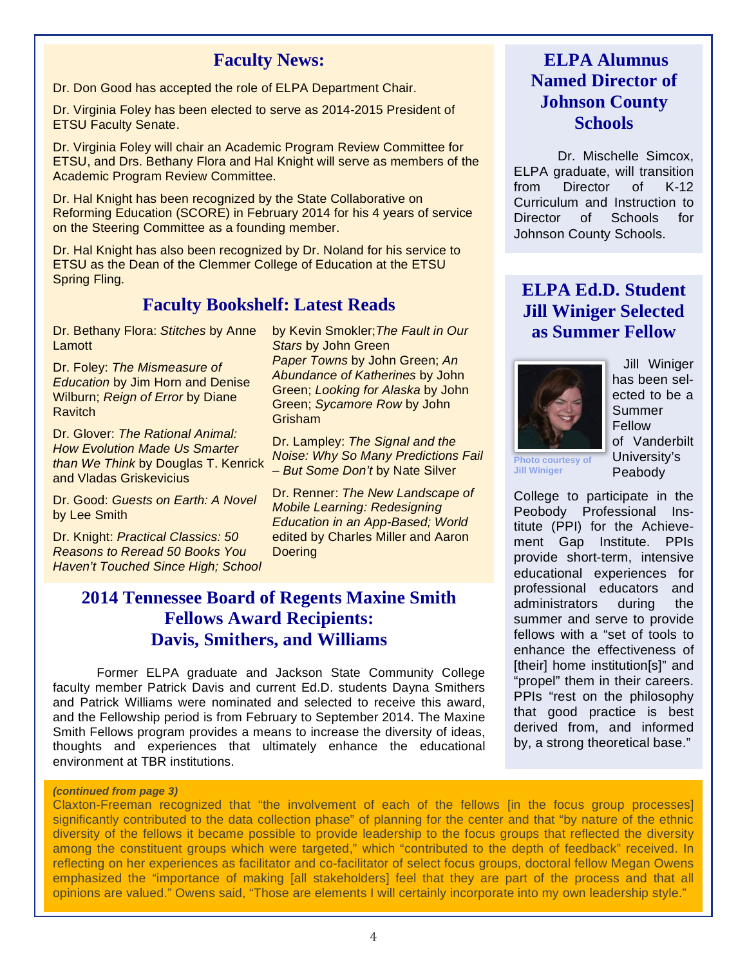#### **Faculty News:**

Dr. Don Good has accepted the role of ELPA Department Chair.

 Dr. Virginia Foley has been elected to serve as 2014-2015 President of ETSU Faculty Senate.

 Dr. Virginia Foley will chair an Academic Program Review Committee for ETSU, and Drs. Bethany Flora and Hal Knight will serve as members of the Academic Program Review Committee.

 Dr. Hal Knight has been recognized by the State Collaborative on Reforming Education (SCORE) in February 2014 for his 4 years of service on the Steering Committee as a founding member.

 Dr. Hal Knight has also been recognized by Dr. Noland for his service to ETSU as the Dean of the Clemmer College of Education at the ETSU Spring Fling.

#### **Faculty Bookshelf: Latest Reads**

Dr. Bethany Flora: Stitches by Anne **Lamott** 

 Dr. Foley: The Mismeasure of **Education by Jim Horn and Denise** Wilburn; Reign of Error by Diane Ravitch

Dr. Glover: The Rational Animal: How Evolution Made Us Smarter than We Think by Douglas T. Kenrick and Vladas Griskevicius

Dr. Good: Guests on Earth: A Novel by Lee Smith

Dr. Knight: Practical Classics: 50 Reasons to Reread 50 Books You Haven't Touched Since High; School

by Kevin Smokler; The Fault in Our Abundance of Katherines by John Stars by John Green Paper Towns by John Green; An Green; Looking for Alaska by John Green; Sycamore Row by John Grisham

Dr. Lampley: The Signal and the Noise: Why So Many Predictions Fail - But Some Don't by Nate Silver

Dr. Renner: The New Landscape of Mobile Learning: Redesigning Education in an App-Based; World edited by Charles Miller and Aaron **Doering** 

# **2014 Tennessee Board of Regents Maxine Smith Fellows Award Recipients: Davis, Smithers, and Williams**

 Former ELPA graduate and Jackson State Community College faculty member Patrick Davis and current Ed.D. students Dayna Smithers and Patrick Williams were nominated and selected to receive this award, and the Fellowship period is from February to September 2014. The Maxine Smith Fellows program provides a means to increase the diversity of ideas, thoughts and experiences that ultimately enhance the educational environment at TBR institutions.

#### **(continued from page 3)**

 Claxton-Freeman recognized that "the involvement of each of the fellows [in the focus group processes] significantly contributed to the data collection phase" of planning for the center and that "by nature of the ethnic diversity of the fellows it became possible to provide leadership to the focus groups that reflected the diversity among the constituent groups which were targeted," which "contributed to the depth of feedback" received. In reflecting on her experiences as facilitator and co-facilitator of select focus groups, doctoral fellow Megan Owens emphasized the "importance of making [all stakeholders] feel that they are part of the process and that all opinions are valued." Owens said, "Those are elements I will certainly incorporate into my own leadership style."

# **ELPA Alumnus Named Director of Johnson County Schools**

 ELPA graduate, will transition from Curriculum and Instruction to Director of Schools for Dr. Mischelle Simcox, Director of K-12 Johnson County Schools.

# **Jill Winiger Selected as Summer Fellow ELPA Ed.D. Student**



 Jill Winiger has been selected to be a Summer Fellow of Vanderbilt University's Peabody

 **Photo courtesy of Jill Winiger**

 College to participate in the titute (PPI) for the Achieve- ment Gap Institute. PPIs provide short-term, intensive educational experiences for administrators during the summer and serve to provide fellows with a "set of tools to enhance the effectiveness of [their] home institution[s]" and "propel" them in their careers. PPIs "rest on the philosophy that good practice is best derived from, and informed by, a strong theoretical base." Peobody Professional Insprofessional educators and